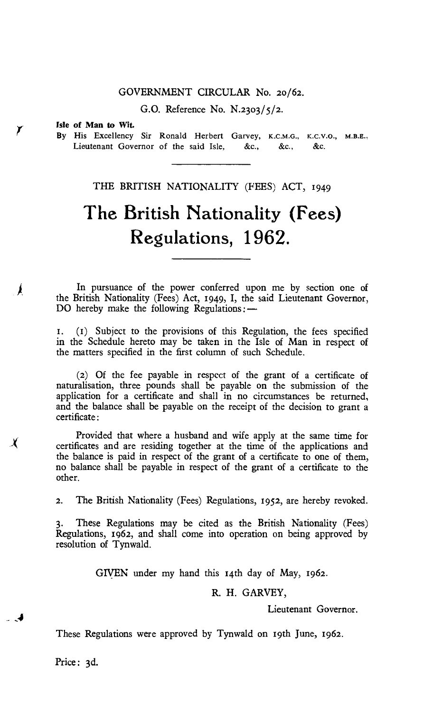## GOVERNMENT CIRCULAR No. 20/62.

G.O. Reference No. N.23o3/5/2.

#### **Isle of Man to Wit.**

Ă

 $\chi$ 

- 4

By His Excellency Sir Ronald Herbert Garvey, K.C.M.G., K.C.V.O., **M.B.E.,**  Lieutenant Governor of the said Isle, &c., &c., &c.

THE BRITISH NATIONALITY (FEES) ACT, 1949

# **The British Nationality (Fees) Regulations, 1962.**

In pursuance of the power conferred upon me by section one of the British Nationality (Fees) Act, 1949, I, the said Lieutenant Governor, DO hereby make the following Regulations: —

1. (1) Subject to the provisions of this Regulation, the fees specified in the Schedule hereto may be taken in the Isle of Man in respect of the matters specified in the first column of such Schedule.

(2) Of the fee payable in respect of the grant of a certificate of naturalisation, three pounds shall be payable on the submission of the application for a certificate and shall in no circumstances be returned, and the balance shall be payable on the receipt of the decision to grant a certificate:

Provided that where a husband and wife apply at the same time for certificates and are residing together at the time of the applications and the balance is paid in respect of the grant of a certificate to one of them, no balance shall be payable in respect of the grant of a certificate to the other.

2. The British Nationality (Fees) Regulations, 1952, are hereby revoked.

These Regulations may be cited as the British Nationality (Fees) Regulations, 1962, and shall come into operation on being approved by resolution of Tynwald.

GIVEN under my hand this 14th day of May, 1962.

R. H. GARVEY,

Lieutenant Governor.

These Regulations were approved by Tynwald on 19th June, 1962.

Price: 3d.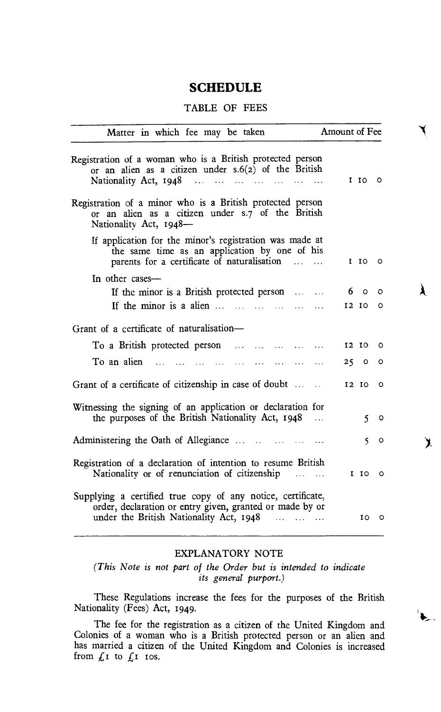## **SCHEDULE**

## TABLE OF FEES

| Matter in which fee may be taken                                                                                                                                   | Amount of Fee     |
|--------------------------------------------------------------------------------------------------------------------------------------------------------------------|-------------------|
| Registration of a woman who is a British protected person<br>or an alien as a citizen under $s.6(z)$ of the British<br>Nationality Act, 1948                       | $I$ $I$ $O$ $O$   |
| Registration of a minor who is a British protected person<br>or an alien as a citizen under s.7 of the British<br>Nationality Act, 1948-                           |                   |
| If application for the minor's registration was made at<br>the same time as an application by one of his<br>parents for a certificate of naturalisation            | I IO 1<br>$\circ$ |
| In other cases-<br>If the minor is a British protected person                                                                                                      | 60<br>$\circ$     |
| If the minor is a alien $\ldots$ $\ldots$ $\ldots$ $\ldots$ $\ldots$<br>Grant of a certificate of naturalisation-                                                  | 12 IO<br>٥        |
| To a British protected person<br>$\mathbf{1}$ . The contract of $\mathbf{1}$                                                                                       | 12 IO 0           |
| To an alien $\ldots$ $\ldots$<br>$\sim$<br>$\cdots$<br>$\sim 100$                                                                                                  | 250<br>$\circ$    |
| Grant of a certificate of citizenship in case of doubt                                                                                                             | $I2$ $I0$ $O$     |
| Witnessing the signing of an application or declaration for<br>the purposes of the British Nationality Act, 1948<br>$\sim$                                         | $\sim$<br>o       |
| Administering the Oath of Allegiance                                                                                                                               | 5.<br>$\circ$     |
| Registration of a declaration of intention to resume British<br>Nationality or of renunciation of citizenship                                                      | $I$ $I$ $O$ $O$   |
| Supplying a certified true copy of any notice, certificate,<br>order, declaration or entry given, granted or made by or<br>under the British Nationality Act, 1948 | 10 O              |

À

ℷ

 $\sum_{i=1}^{n}$ 

### EXPLANATORY NOTE

*(This Note is not part of the Order but is intended to indicate its general purport.)* 

These Regulations increase the fees for the purposes of the British Nationality (Fees) Act, 1949.

The fee for the registration as a citizen of the United Kingdom and Colonies of a woman who is a British protected person or an alien and has married a citizen of the United Kingdom and Colonies is increased from  $f_I$  to  $f_I$  ros.